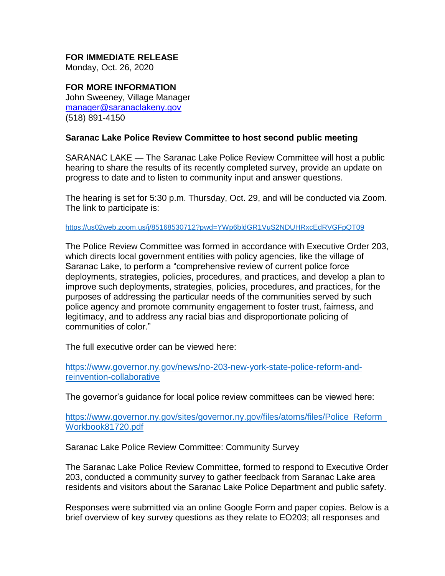## **FOR IMMEDIATE RELEASE**

Monday, Oct. 26, 2020

**FOR MORE INFORMATION** John Sweeney, Village Manager [manager@saranaclakeny.gov](mailto:manager@saranaclakeny.gov) (518) 891-4150

## **Saranac Lake Police Review Committee to host second public meeting**

SARANAC LAKE — The Saranac Lake Police Review Committee will host a public hearing to share the results of its recently completed survey, provide an update on progress to date and to listen to community input and answer questions.

The hearing is set for 5:30 p.m. Thursday, Oct. 29, and will be conducted via Zoom. The link to participate is:

[https://us02web.zoom.us/j/85168530712?pwd=YWp6bldGR1VuS2NDUHRxcEdRVGFpQT09](file:///C:/Users/kareen/Documents/Default.rdp)

The Police Review Committee was formed in accordance with Executive Order 203, which directs local government entities with policy agencies, like the village of Saranac Lake, to perform a "comprehensive review of current police force deployments, strategies, policies, procedures, and practices, and develop a plan to improve such deployments, strategies, policies, procedures, and practices, for the purposes of addressing the particular needs of the communities served by such police agency and promote community engagement to foster trust, fairness, and legitimacy, and to address any racial bias and disproportionate policing of communities of color."

The full executive order can be viewed here:

[https://www.governor.ny.gov/news/no-203-new-york-state-police-reform-and](https://www.governor.ny.gov/news/no-203-new-york-state-police-reform-and-reinvention-collaborative)[reinvention-collaborative](https://www.governor.ny.gov/news/no-203-new-york-state-police-reform-and-reinvention-collaborative)

The governor's guidance for local police review committees can be viewed here:

[https://www.governor.ny.gov/sites/governor.ny.gov/files/atoms/files/Police\\_Reform\\_](https://www.governor.ny.gov/sites/governor.ny.gov/files/atoms/files/Police_Reform_Workbook81720.pdf) [Workbook81720.pdf](https://www.governor.ny.gov/sites/governor.ny.gov/files/atoms/files/Police_Reform_Workbook81720.pdf)

Saranac Lake Police Review Committee: Community Survey

The Saranac Lake Police Review Committee, formed to respond to Executive Order 203, conducted a community survey to gather feedback from Saranac Lake area residents and visitors about the Saranac Lake Police Department and public safety.

Responses were submitted via an online Google Form and paper copies. Below is a brief overview of key survey questions as they relate to EO203; all responses and